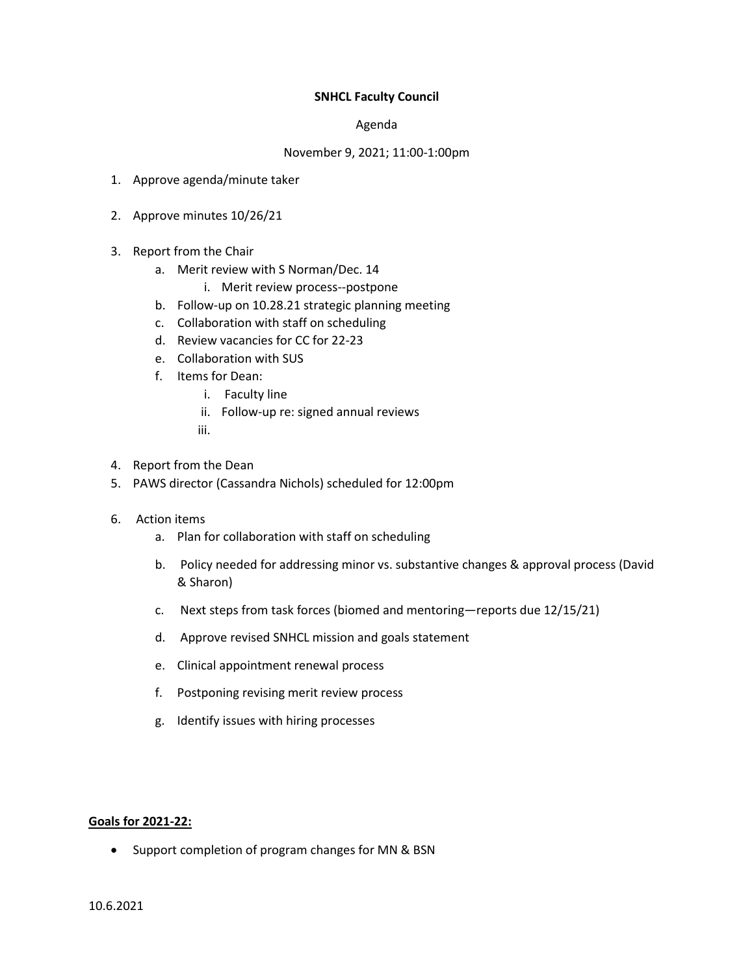## **SNHCL Faculty Council**

## Agenda

## November 9, 2021; 11:00-1:00pm

- 1. Approve agenda/minute taker
- 2. Approve minutes 10/26/21
- 3. Report from the Chair
	- a. Merit review with S Norman/Dec. 14
		- i. Merit review process--postpone
	- b. Follow-up on 10.28.21 strategic planning meeting
	- c. Collaboration with staff on scheduling
	- d. Review vacancies for CC for 22-23
	- e. Collaboration with SUS
	- f. Items for Dean:
		- i. Faculty line
		- ii. Follow-up re: signed annual reviews
		- iii.
- 4. Report from the Dean
- 5. PAWS director (Cassandra Nichols) scheduled for 12:00pm
- 6. Action items
	- a. Plan for collaboration with staff on scheduling
	- b. Policy needed for addressing minor vs. substantive changes & approval process (David & Sharon)
	- c. Next steps from task forces (biomed and mentoring—reports due 12/15/21)
	- d. Approve revised SNHCL mission and goals statement
	- e. Clinical appointment renewal process
	- f. Postponing revising merit review process
	- g. Identify issues with hiring processes

## **Goals for 2021-22:**

• Support completion of program changes for MN & BSN